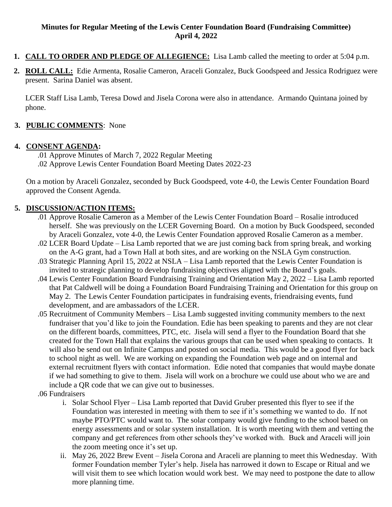#### **Minutes for Regular Meeting of the Lewis Center Foundation Board (Fundraising Committee) April 4, 2022**

- **1. CALL TO ORDER AND PLEDGE OF ALLEGIENCE:** Lisa Lamb called the meeting to order at 5:04 p.m.
- **2. ROLL CALL:** Edie Armenta, Rosalie Cameron, Araceli Gonzalez, Buck Goodspeed and Jessica Rodriguez were present. Sarina Daniel was absent.

LCER Staff Lisa Lamb, Teresa Dowd and Jisela Corona were also in attendance. Armando Quintana joined by phone.

# **3. PUBLIC COMMENTS**: None

### **4. CONSENT AGENDA:**

.01 Approve Minutes of March 7, 2022 Regular Meeting .02 Approve Lewis Center Foundation Board Meeting Dates 2022-23

On a motion by Araceli Gonzalez, seconded by Buck Goodspeed, vote 4-0, the Lewis Center Foundation Board approved the Consent Agenda.

## **5. DISCUSSION/ACTION ITEMS:**

- .01 Approve Rosalie Cameron as a Member of the Lewis Center Foundation Board Rosalie introduced herself. She was previously on the LCER Governing Board. On a motion by Buck Goodspeed, seconded by Araceli Gonzalez, vote 4-0, the Lewis Center Foundation approved Rosalie Cameron as a member.
- .02 LCER Board Update Lisa Lamb reported that we are just coming back from spring break, and working on the A-G grant, had a Town Hall at both sites, and are working on the NSLA Gym construction.
- .03 Strategic Planning April 15, 2022 at NSLA Lisa Lamb reported that the Lewis Center Foundation is invited to strategic planning to develop fundraising objectives aligned with the Board's goals.
- .04 Lewis Center Foundation Board Fundraising Training and Orientation May 2, 2022 Lisa Lamb reported that Pat Caldwell will be doing a Foundation Board Fundraising Training and Orientation for this group on May 2. The Lewis Center Foundation participates in fundraising events, friendraising events, fund development, and are ambassadors of the LCER.
- .05 Recruitment of Community Members Lisa Lamb suggested inviting community members to the next fundraiser that you'd like to join the Foundation. Edie has been speaking to parents and they are not clear on the different boards, committees, PTC, etc. Jisela will send a flyer to the Foundation Board that she created for the Town Hall that explains the various groups that can be used when speaking to contacts. It will also be send out on Infinite Campus and posted on social media. This would be a good flyer for back to school night as well. We are working on expanding the Foundation web page and on internal and external recruitment flyers with contact information. Edie noted that companies that would maybe donate if we had something to give to them. Jisela will work on a brochure we could use about who we are and include a QR code that we can give out to businesses.
- .06 Fundraisers
	- i. Solar School Flyer Lisa Lamb reported that David Gruber presented this flyer to see if the Foundation was interested in meeting with them to see if it's something we wanted to do. If not maybe PTO/PTC would want to. The solar company would give funding to the school based on energy assessments and or solar system installation. It is worth meeting with them and vetting the company and get references from other schools they've worked with. Buck and Araceli will join the zoom meeting once it's set up.
	- ii. May 26, 2022 Brew Event Jisela Corona and Araceli are planning to meet this Wednesday. With former Foundation member Tyler's help. Jisela has narrowed it down to Escape or Ritual and we will visit them to see which location would work best. We may need to postpone the date to allow more planning time.